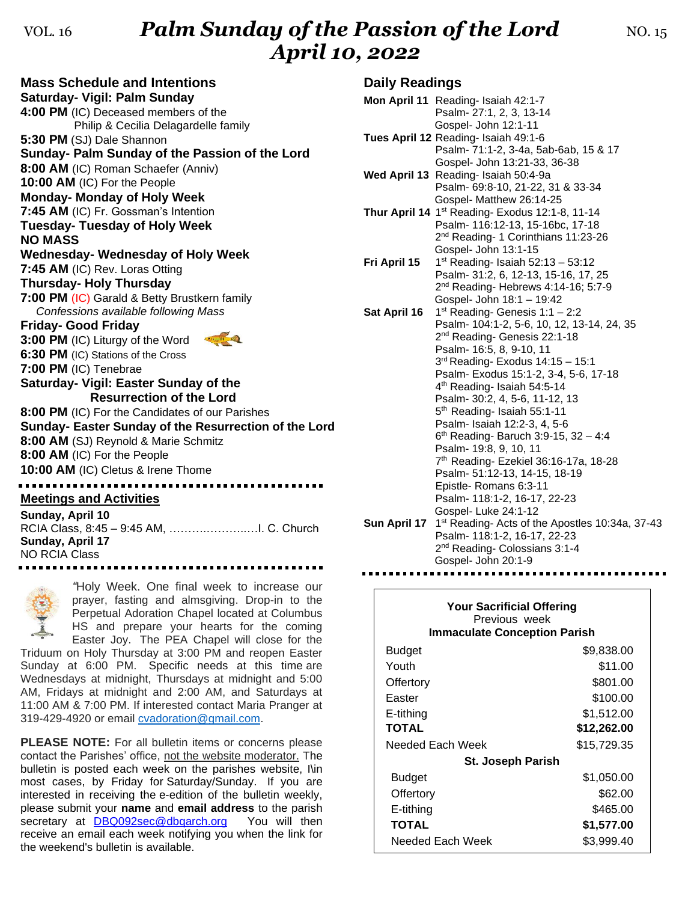## VOL. 16 **Palm Sunday of the Passion of the Lord** NO. 15 *April 10, 2022*

**Mass Schedule and Intentions Saturday- Vigil: Palm Sunday 4:00 PM** (IC) Deceased members of the Philip & Cecilia Delagardelle family **5:30 PM** (SJ) Dale Shannon **Sunday- Palm Sunday of the Passion of the Lord 8:00 AM** (IC) Roman Schaefer (Anniv) **10:00 AM** (IC) For the People **Monday- Monday of Holy Week 7:45 AM** (IC) Fr. Gossman's Intention **Tuesday- Tuesday of Holy Week NO MASS Wednesday- Wednesday of Holy Week 7:45 AM** (IC) Rev. Loras Otting **Thursday- Holy Thursday 7:00 PM** (IC) Garald & Betty Brustkern family *Confessions available following Mass* **Friday- Good Friday 3:00 PM** (IC) Liturgy of the Word **6:30 PM** (IC) Stations of the Cross **7:00 PM** (IC) Tenebrae **Saturday- Vigil: Easter Sunday of the Resurrection of the Lord 8:00 PM** (IC) For the Candidates of our Parishes **Sunday- Easter Sunday of the Resurrection of the Lord 8:00 AM** (SJ) Reynold & Marie Schmitz **8:00 AM** (IC) For the People **10:00 AM** (IC) Cletus & Irene Thome **Meetings and Activities Sunday, April 10** RCIA Class, 8:45 – 9:45 AM, ……….………..…I. C. Church **Sunday, April 17**



NO RCIA Class

*"*Holy Week. One final week to increase our prayer, fasting and almsgiving. Drop-in to the Perpetual Adoration Chapel located at Columbus HS and prepare your hearts for the coming Easter Joy. The PEA Chapel will close for the

Triduum on Holy Thursday at 3:00 PM and reopen Easter Sunday at 6:00 PM. Specific needs at this time are Wednesdays at midnight, Thursdays at midnight and 5:00 AM, Fridays at midnight and 2:00 AM, and Saturdays at 11:00 AM & 7:00 PM. If interested contact Maria Pranger at 319-429-4920 or email [cvadoration@gmail.com.](mailto:cvadoration@gmail.com)

**PLEASE NOTE:** For all bulletin items or concerns please contact the Parishes' office, not the website moderator. The bulletin is posted each week on the parishes website, I\in most cases, by Friday for Saturday/Sunday. If you are interested in receiving the e-edition of the bulletin weekly, please submit your **name** and **email address** to the parish secretary at **[DBQ092sec@dbqarch.org](mailto:dbq092sec@arch.pvt.k12.ia.us)** You will then receive an email each week notifying you when the link for the weekend's bulletin is available.

#### **Daily Readings**

|              | Mon April 11 Reading- Isaiah 42:1-7                         |
|--------------|-------------------------------------------------------------|
|              | Psalm-27:1, 2, 3, 13-14                                     |
|              | Gospel- John 12:1-11                                        |
|              | Tues April 12 Reading- Isaiah 49:1-6                        |
|              | Psalm- 71:1-2, 3-4a, 5ab-6ab, 15 & 17                       |
|              | Gospel- John 13:21-33, 36-38                                |
|              | Wed April 13 Reading- Isaiah 50:4-9a                        |
|              | Psalm- 69:8-10, 21-22, 31 & 33-34                           |
|              | Gospel- Matthew 26:14-25                                    |
|              | Thur April 14 1 <sup>st</sup> Reading- Exodus 12:1-8, 11-14 |
|              | Psalm- 116:12-13, 15-16bc, 17-18                            |
|              | 2 <sup>nd</sup> Reading- 1 Corinthians 11:23-26             |
|              | Gospel- John 13:1-15                                        |
| Fri April 15 | $1st$ Reading- Isaiah 52:13 - 53:12                         |
|              | Psalm- 31:2, 6, 12-13, 15-16, 17, 25                        |
|              | 2 <sup>nd</sup> Reading- Hebrews 4:14-16; 5:7-9             |
|              | Gospel- John 18:1 - 19:42                                   |
| Sat April 16 | 1 <sup>st</sup> Reading- Genesis 1:1 - 2:2                  |
|              | Psalm- 104:1-2, 5-6, 10, 12, 13-14, 24, 35                  |
|              | 2 <sup>nd</sup> Reading- Genesis 22:1-18                    |
|              | Psalm- 16:5, 8, 9-10, 11                                    |
|              | 3rd Reading-Exodus 14:15 - 15:1                             |
|              | Psalm- Exodus 15:1-2, 3-4, 5-6, 17-18                       |
|              | 4 <sup>th</sup> Reading- Isaiah 54:5-14                     |
|              | Psalm- 30:2, 4, 5-6, 11-12, 13                              |
|              | 5 <sup>th</sup> Reading- Isaiah 55:1-11                     |
|              | Psalm- Isaiah 12:2-3, 4, 5-6                                |
|              | 6 <sup>th</sup> Reading- Baruch 3:9-15, 32 - 4:4            |
|              | Psalm- 19:8, 9, 10, 11                                      |
|              | 7th Reading- Ezekiel 36:16-17a, 18-28                       |
|              | Psalm- 51:12-13, 14-15, 18-19                               |
|              | Epistle-Romans 6:3-11                                       |
|              | Psalm- 118:1-2, 16-17, 22-23                                |
|              | Gospel-Luke 24:1-12                                         |
| Sun April 17 | 1st Reading- Acts of the Apostles 10:34a, 37-43             |
|              | Psalm- 118:1-2, 16-17, 22-23                                |
|              | 2 <sup>nd</sup> Reading- Colossians 3:1-4                   |
|              | Gospel- John 20:1-9                                         |
|              |                                                             |

| <b>Your Sacrificial Offering</b><br>Previous week<br><b>Immaculate Conception Parish</b> |             |  |  |
|------------------------------------------------------------------------------------------|-------------|--|--|
| <b>Budget</b>                                                                            | \$9,838.00  |  |  |
| Youth                                                                                    | \$11.00     |  |  |
| Offertory                                                                                | \$801.00    |  |  |
| Easter                                                                                   | \$100.00    |  |  |
| E-tithing                                                                                | \$1,512.00  |  |  |
| <b>TOTAL</b>                                                                             | \$12,262.00 |  |  |
| Needed Each Week                                                                         | \$15,729.35 |  |  |
| <b>St. Joseph Parish</b>                                                                 |             |  |  |
| <b>Budget</b>                                                                            | \$1,050.00  |  |  |
| Offertory                                                                                | \$62.00     |  |  |
| E-tithing                                                                                | \$465.00    |  |  |
| <b>TOTAL</b>                                                                             | \$1,577.00  |  |  |
| Needed Each Week                                                                         | \$3,999.40  |  |  |